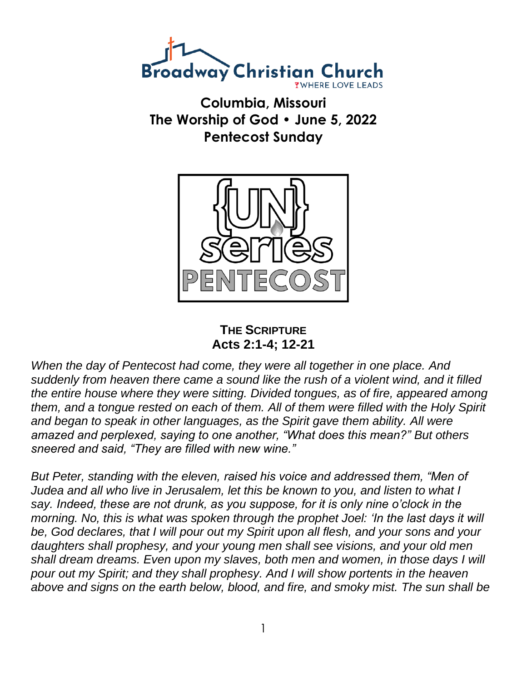

**Columbia, Missouri The Worship of God • June 5, 2022 Pentecost Sunday**



**THE SCRIPTURE Acts 2:1-4; 12-21**

*When the day of Pentecost had come, they were all together in one place. And suddenly from heaven there came a sound like the rush of a violent wind, and it filled the entire house where they were sitting. Divided tongues, as of fire, appeared among them, and a tongue rested on each of them. All of them were filled with the Holy Spirit and began to speak in other languages, as the Spirit gave them ability. All were amazed and perplexed, saying to one another, "What does this mean?" But others sneered and said, "They are filled with new wine."*

*But Peter, standing with the eleven, raised his voice and addressed them, "Men of Judea and all who live in Jerusalem, let this be known to you, and listen to what I say. Indeed, these are not drunk, as you suppose, for it is only nine o'clock in the morning. No, this is what was spoken through the prophet Joel: 'In the last days it will be, God declares, that I will pour out my Spirit upon all flesh, and your sons and your daughters shall prophesy, and your young men shall see visions, and your old men shall dream dreams. Even upon my slaves, both men and women, in those days I will pour out my Spirit; and they shall prophesy. And I will show portents in the heaven above and signs on the earth below, blood, and fire, and smoky mist. The sun shall be*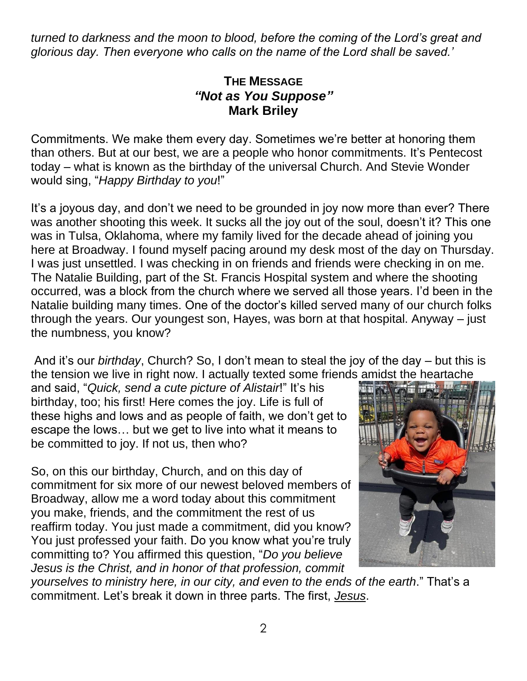*turned to darkness and the moon to blood, before the coming of the Lord's great and glorious day. Then everyone who calls on the name of the Lord shall be saved.'*

## **THE MESSAGE** *"Not as You Suppose"* **Mark Briley**

Commitments. We make them every day. Sometimes we're better at honoring them than others. But at our best, we are a people who honor commitments. It's Pentecost today – what is known as the birthday of the universal Church. And Stevie Wonder would sing, "*Happy Birthday to you*!"

It's a joyous day, and don't we need to be grounded in joy now more than ever? There was another shooting this week. It sucks all the joy out of the soul, doesn't it? This one was in Tulsa, Oklahoma, where my family lived for the decade ahead of joining you here at Broadway. I found myself pacing around my desk most of the day on Thursday. I was just unsettled. I was checking in on friends and friends were checking in on me. The Natalie Building, part of the St. Francis Hospital system and where the shooting occurred, was a block from the church where we served all those years. I'd been in the Natalie building many times. One of the doctor's killed served many of our church folks through the years. Our youngest son, Hayes, was born at that hospital. Anyway – just the numbness, you know?

And it's our *birthday*, Church? So, I don't mean to steal the joy of the day – but this is the tension we live in right now. I actually texted some friends amidst the heartache

and said, "*Quick, send a cute picture of Alistair*!" It's his birthday, too; his first! Here comes the joy. Life is full of these highs and lows and as people of faith, we don't get to escape the lows… but we get to live into what it means to be committed to joy. If not us, then who?

So, on this our birthday, Church, and on this day of commitment for six more of our newest beloved members of Broadway, allow me a word today about this commitment you make, friends, and the commitment the rest of us reaffirm today. You just made a commitment, did you know? You just professed your faith. Do you know what you're truly committing to? You affirmed this question, "*Do you believe Jesus is the Christ, and in honor of that profession, commit* 



*yourselves to ministry here, in our city, and even to the ends of the earth*." That's a commitment. Let's break it down in three parts. The first, *Jesus*.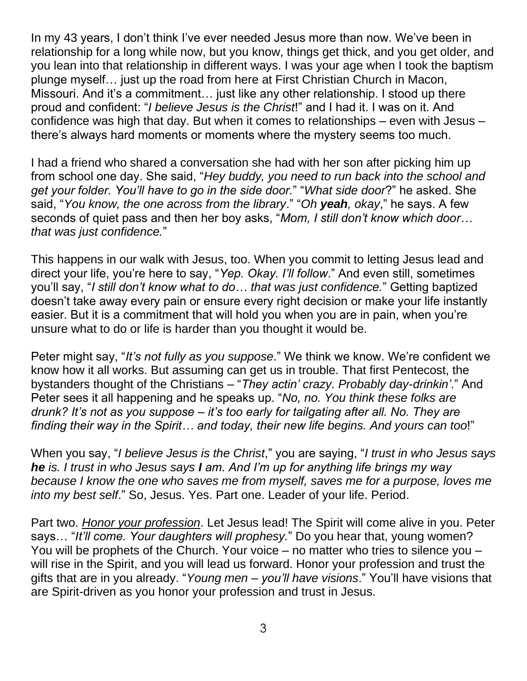In my 43 years, I don't think I've ever needed Jesus more than now. We've been in relationship for a long while now, but you know, things get thick, and you get older, and you lean into that relationship in different ways. I was your age when I took the baptism plunge myself… just up the road from here at First Christian Church in Macon, Missouri. And it's a commitment… just like any other relationship. I stood up there proud and confident: "*I believe Jesus is the Christ*!" and I had it. I was on it. And confidence was high that day. But when it comes to relationships – even with Jesus – there's always hard moments or moments where the mystery seems too much.

I had a friend who shared a conversation she had with her son after picking him up from school one day. She said, "*Hey buddy, you need to run back into the school and get your folder. You'll have to go in the side door.*" "*What side door*?" he asked. She said, "*You know, the one across from the library*." "*Oh yeah, okay*," he says. A few seconds of quiet pass and then her boy asks, "*Mom, I still don't know which door… that was just confidence.*"

This happens in our walk with Jesus, too. When you commit to letting Jesus lead and direct your life, you're here to say, "*Yep. Okay. I'll follow*." And even still, sometimes you'll say, "*I still don't know what to do… that was just confidence.*" Getting baptized doesn't take away every pain or ensure every right decision or make your life instantly easier. But it is a commitment that will hold you when you are in pain, when you're unsure what to do or life is harder than you thought it would be.

Peter might say, "*It's not fully as you suppose*." We think we know. We're confident we know how it all works. But assuming can get us in trouble. That first Pentecost, the bystanders thought of the Christians – "*They actin' crazy. Probably day-drinkin'*." And Peter sees it all happening and he speaks up. "*No, no. You think these folks are drunk? It's not as you suppose – it's too early for tailgating after all. No. They are finding their way in the Spirit… and today, their new life begins. And yours can too*!"

When you say, "*I believe Jesus is the Christ*," you are saying, "*I trust in who Jesus says he is. I trust in who Jesus says I am. And I'm up for anything life brings my way because I know the one who saves me from myself, saves me for a purpose, loves me into my best self*." So, Jesus. Yes. Part one. Leader of your life. Period.

Part two. *Honor your profession*. Let Jesus lead! The Spirit will come alive in you. Peter says… "*It'll come. Your daughters will prophesy.*" Do you hear that, young women? You will be prophets of the Church. Your voice – no matter who tries to silence you – will rise in the Spirit, and you will lead us forward. Honor your profession and trust the gifts that are in you already. "*Young men – you'll have visions*." You'll have visions that are Spirit-driven as you honor your profession and trust in Jesus.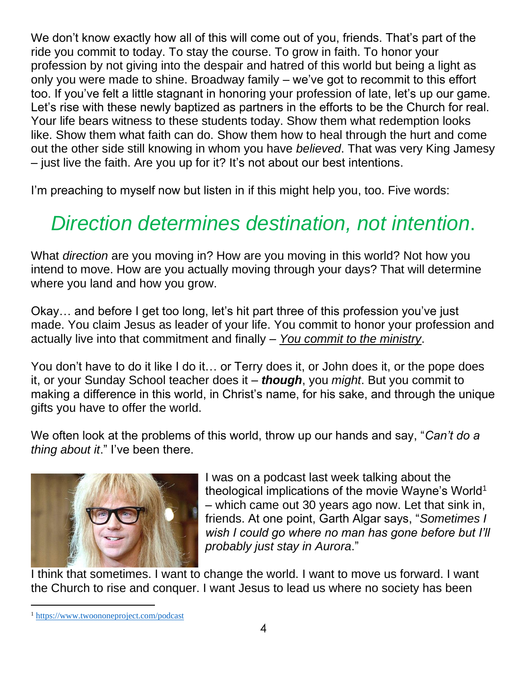We don't know exactly how all of this will come out of you, friends. That's part of the ride you commit to today. To stay the course. To grow in faith. To honor your profession by not giving into the despair and hatred of this world but being a light as only you were made to shine. Broadway family – we've got to recommit to this effort too. If you've felt a little stagnant in honoring your profession of late, let's up our game. Let's rise with these newly baptized as partners in the efforts to be the Church for real. Your life bears witness to these students today. Show them what redemption looks like. Show them what faith can do. Show them how to heal through the hurt and come out the other side still knowing in whom you have *believed*. That was very King Jamesy – just live the faith. Are you up for it? It's not about our best intentions.

I'm preaching to myself now but listen in if this might help you, too. Five words:

# *Direction determines destination, not intention*.

What *direction* are you moving in? How are you moving in this world? Not how you intend to move. How are you actually moving through your days? That will determine where you land and how you grow.

Okay… and before I get too long, let's hit part three of this profession you've just made. You claim Jesus as leader of your life. You commit to honor your profession and actually live into that commitment and finally – *You commit to the ministry*.

You don't have to do it like I do it… or Terry does it, or John does it, or the pope does it, or your Sunday School teacher does it – *though*, you *might*. But you commit to making a difference in this world, in Christ's name, for his sake, and through the unique gifts you have to offer the world.

We often look at the problems of this world, throw up our hands and say, "*Can't do a thing about it*." I've been there.



I was on a podcast last week talking about the theological implications of the movie Wayne's World<sup>1</sup> – which came out 30 years ago now. Let that sink in, friends. At one point, Garth Algar says, "*Sometimes I wish I could go where no man has gone before but I'll probably just stay in Aurora*."

I think that sometimes. I want to change the world. I want to move us forward. I want the Church to rise and conquer. I want Jesus to lead us where no society has been

<sup>1</sup> <https://www.twoononeproject.com/podcast>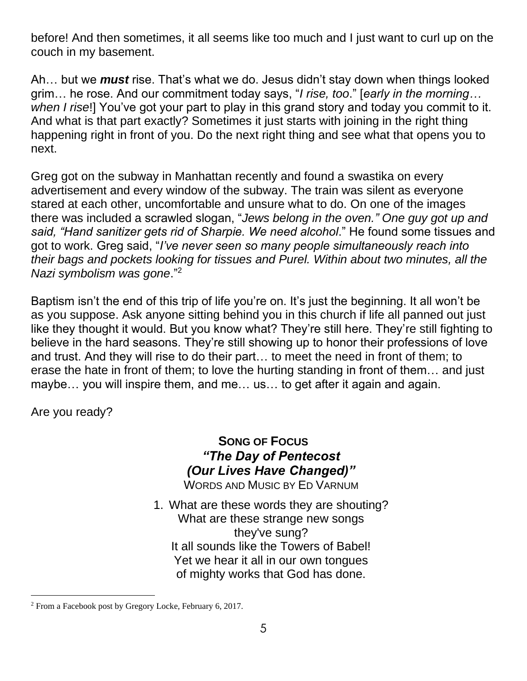before! And then sometimes, it all seems like too much and I just want to curl up on the couch in my basement.

Ah… but we *must* rise. That's what we do. Jesus didn't stay down when things looked grim… he rose. And our commitment today says, "*I rise, too*." [*early in the morning… when I rise*!] You've got your part to play in this grand story and today you commit to it. And what is that part exactly? Sometimes it just starts with joining in the right thing happening right in front of you. Do the next right thing and see what that opens you to next.

Greg got on the subway in Manhattan recently and found a swastika on every advertisement and every window of the subway. The train was silent as everyone stared at each other, uncomfortable and unsure what to do. On one of the images there was included a scrawled slogan, "*Jews belong in the oven." One guy got up and said, "Hand sanitizer gets rid of Sharpie. We need alcohol*." He found some tissues and got to work. Greg said, "*I've never seen so many people simultaneously reach into their bags and pockets looking for tissues and Purel. Within about two minutes, all the Nazi symbolism was gone*." 2

Baptism isn't the end of this trip of life you're on. It's just the beginning. It all won't be as you suppose. Ask anyone sitting behind you in this church if life all panned out just like they thought it would. But you know what? They're still here. They're still fighting to believe in the hard seasons. They're still showing up to honor their professions of love and trust. And they will rise to do their part… to meet the need in front of them; to erase the hate in front of them; to love the hurting standing in front of them… and just maybe… you will inspire them, and me… us… to get after it again and again.

Are you ready?

**SONG OF FOCUS** *"The Day of Pentecost (Our Lives Have Changed)"*

WORDS AND MUSIC BY ED VARNUM

1. What are these words they are shouting? What are these strange new songs they've sung? It all sounds like the Towers of Babel! Yet we hear it all in our own tongues of mighty works that God has done.

<sup>2</sup> From a Facebook post by Gregory Locke, February 6, 2017.